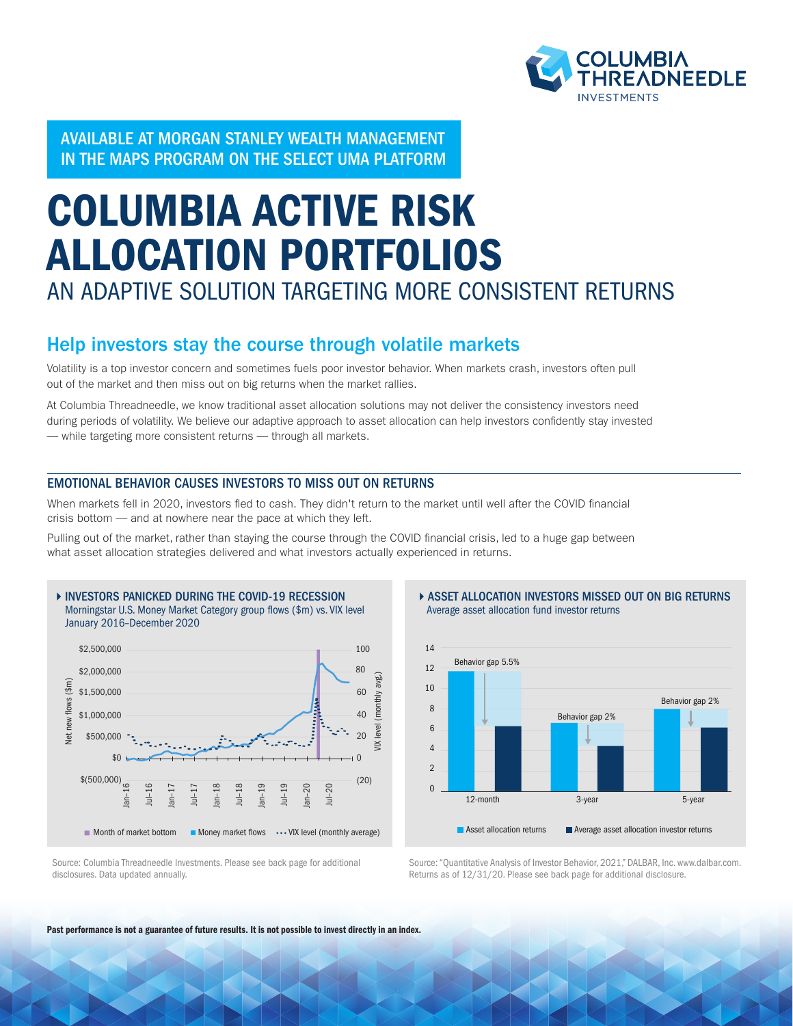

AVAILABLE AT MORGAN STANLEY WEALTH MANAGEMENT IN THE MAPS PROGRAM ON THE SELECT UMA PLATFORM

## COLUMBIA ACTIVE RISK ALLOCATION PORTFOLIOS AN ADAPTIVE SOLUTION TARGETING MORE CONSISTENT RETURNS

## Help investors stay the course through volatile markets

Volatility is a top investor concern and sometimes fuels poor investor behavior. When markets crash, investors often pull out of the market and then miss out on big returns when the market rallies.

At Columbia Threadneedle, we know traditional asset allocation solutions may not deliver the consistency investors need during periods of volatility. We believe our adaptive approach to asset allocation can help investors confidently stay invested — while targeting more consistent returns — through all markets.

#### EMOTIONAL BEHAVIOR CAUSES INVESTORS TO MISS OUT ON RETURNS

When markets fell in 2020, investors fled to cash. They didn't return to the market until well after the COVID financial crisis bottom — and at nowhere near the pace at which they left.

Pulling out of the market, rather than staying the course through the COVID financial crisis, led to a huge gap between what asset allocation strategies delivered and what investors actually experienced in returns.



**ASSET ALLOCATION INVESTORS MISSED OUT ON BIG RETURNS** Average asset allocation fund investor returns



Source: "Quantitative Analysis of Investor Behavior, 2021," DALBAR, Inc. www.dalbar.com. Returns as of 12/31/20. Please see back page for additional disclosure.

Source: Columbia Threadneedle Investments. Please see back page for additional disclosures. Data updated annually.

Past performance is not a guarantee of future results. It is not possible to invest directly in an index.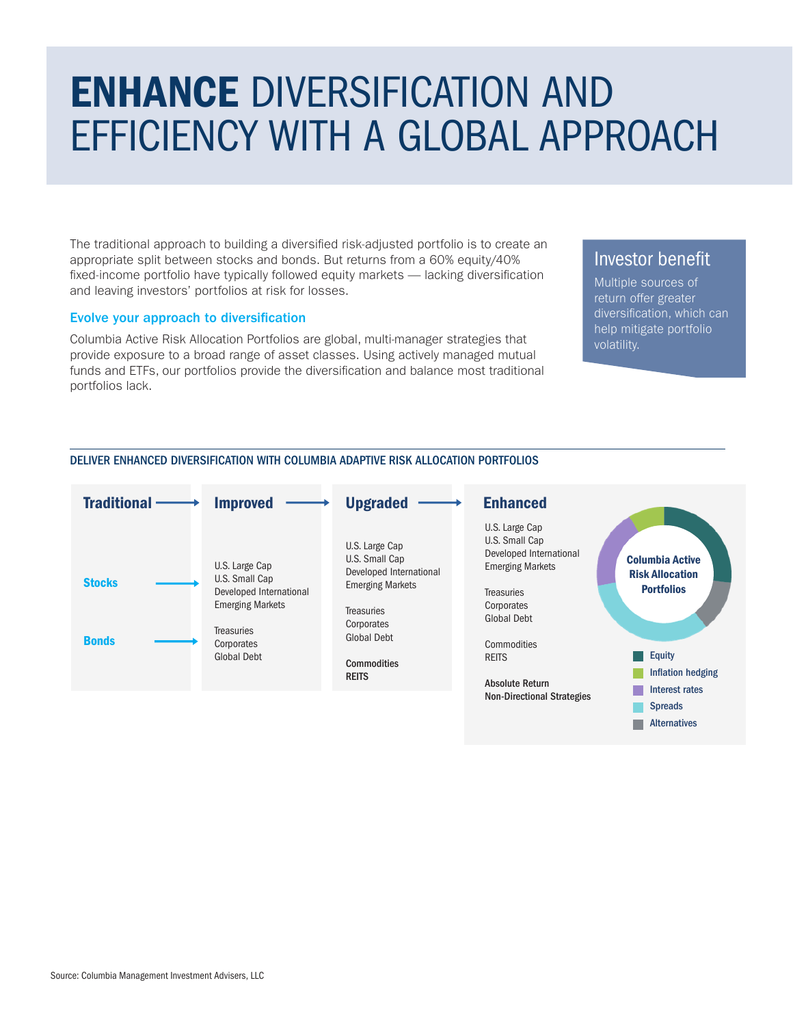## ENHANCE DIVERSIFICATION AND EFFICIENCY WITH A GLOBAL APPROACH

The traditional approach to building a diversified risk-adjusted portfolio is to create an appropriate split between stocks and bonds. But returns from a 60% equity/40% fixed-income portfolio have typically followed equity markets — lacking diversification and leaving investors' portfolios at risk for losses.

#### Evolve your approach to diversification

Columbia Active Risk Allocation Portfolios are global, multi-manager strategies that provide exposure to a broad range of asset classes. Using actively managed mutual funds and ETFs, our portfolios provide the diversification and balance most traditional portfolios lack.

### Investor benefit

Multiple sources of return offer greater diversification, which can help mitigate portfolio volatility.



#### DELIVER ENHANCED DIVERSIFICATION WITH COLUMBIA ADAPTIVE RISK ALLOCATION PORTFOLIOS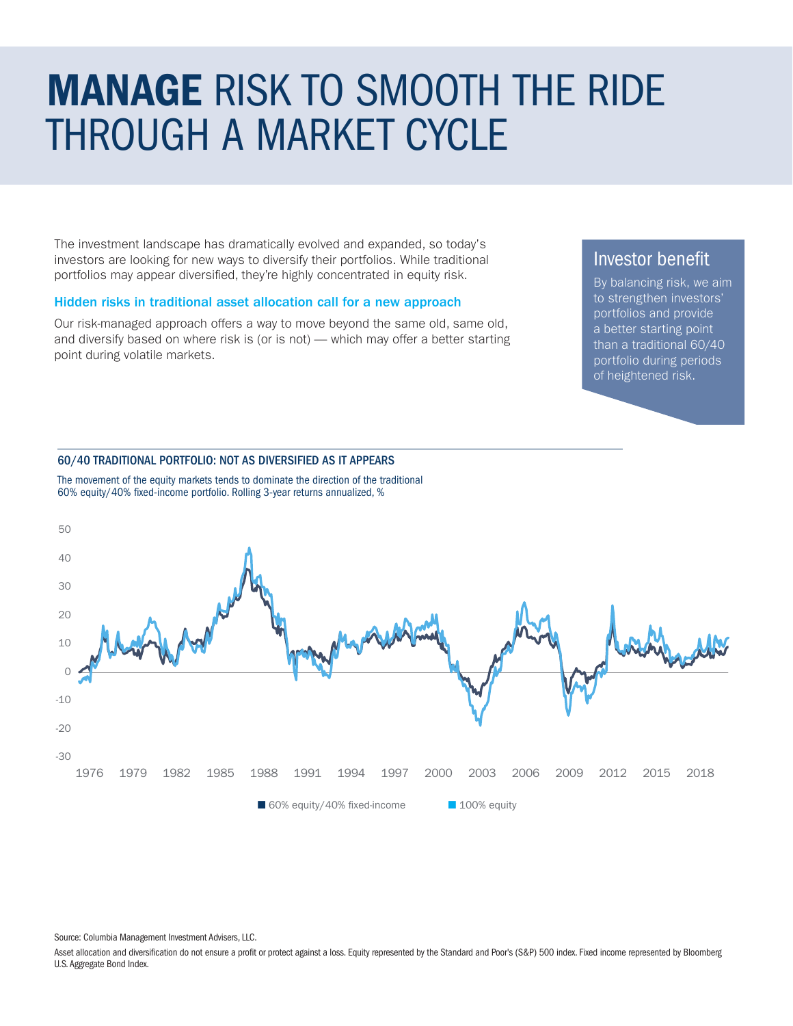## MANAGE RISK TO SMOOTH THE RIDE THROUGH A MARKET CYCLE

The investment landscape has dramatically evolved and expanded, so today's investors are looking for new ways to diversify their portfolios. While traditional portfolios may appear diversified, they're highly concentrated in equity risk.

#### Hidden risks in traditional asset allocation call for a new approach

Our risk-managed approach offers a way to move beyond the same old, same old, and diversify based on where risk is (or is not) — which may offer a better starting point during volatile markets.

### Investor benefit

By balancing risk, we aim to strengthen investors' portfolios and provide a better starting point than a traditional 60/40 portfolio during periods of heightened risk.

#### 60/40 TRADITIONAL PORTFOLIO: NOT AS DIVERSIFIED AS IT APPEARS



The movement of the equity markets tends to dominate the direction of the traditional 60% equity/40% fixed-income portfolio. Rolling 3-year returns annualized, %

Source: Columbia Management Investment Advisers, LLC.

Asset allocation and diversification do not ensure a profit or protect against a loss. Equity represented by the Standard and Poor's (S&P) 500 index. Fixed income represented by Bloomberg U.S. Aggregate Bond Index.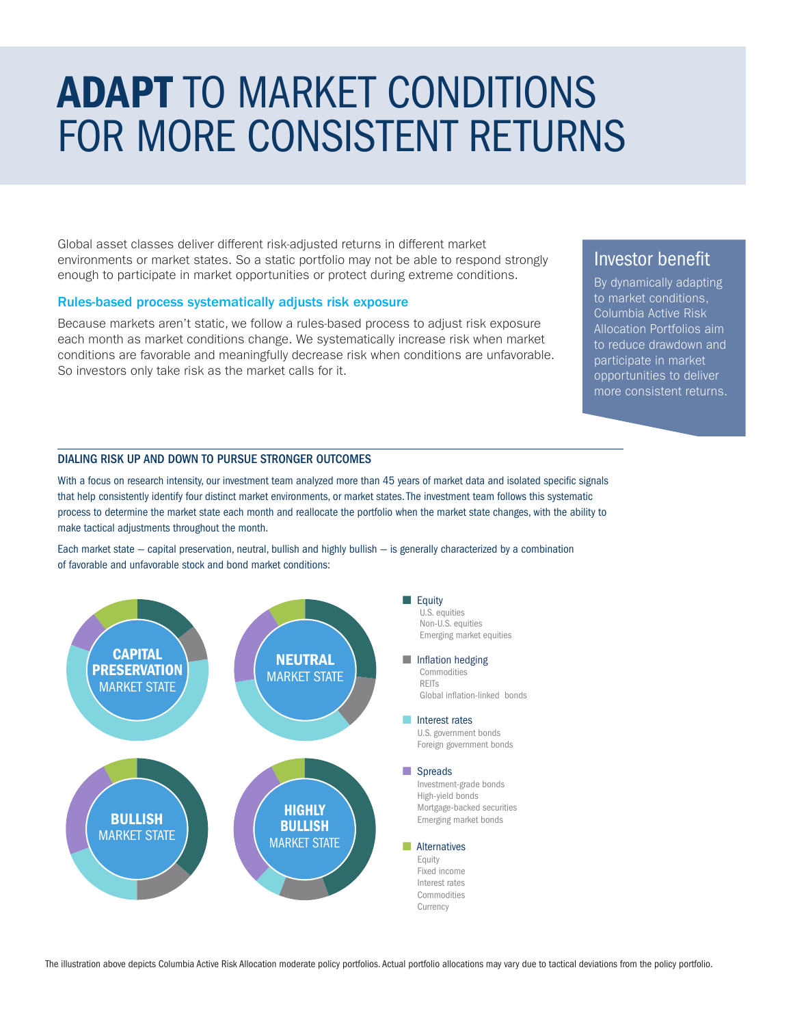# ADAPT TO MARKET CONDITIONS FOR MORE CONSISTENT RETURNS

Global asset classes deliver different risk-adjusted returns in different market environments or market states. So a static portfolio may not be able to respond strongly enough to participate in market opportunities or protect during extreme conditions.

#### Rules-based process systematically adjusts risk exposure

Because markets aren't static, we follow a rules-based process to adjust risk exposure each month as market conditions change. We systematically increase risk when market conditions are favorable and meaningfully decrease risk when conditions are unfavorable. So investors only take risk as the market calls for it.

### Investor benefit

By dynamically adapting to market conditions, Columbia Active Risk Allocation Portfolios aim to reduce drawdown and participate in market opportunities to deliver more consistent returns.

#### DIALING RISK UP AND DOWN TO PURSUE STRONGER OUTCOMES

With a focus on research intensity, our investment team analyzed more than 45 years of market data and isolated specific signals that help consistently identify four distinct market environments, or market states. The investment team follows this systematic process to determine the market state each month and reallocate the portfolio when the market state changes, with the ability to make tactical adjustments throughout the month.

Each market state — capital preservation, neutral, bullish and highly bullish — is generally characterized by a combination of favorable and unfavorable stock and bond market conditions:



 Non-U.S. equities Emerging market equities ■ Inflation hedging Commodities Global inflation-linked bonds ■ Interest rates U.S. government bonds Foreign government bonds

 Investment-grade bonds High-yield bonds Mortgage-backed securities Emerging market bonds

#### ■ Alternatives

 Fixed income Interest rates Commodities

The illustration above depicts Columbia Active Risk Allocation moderate policy portfolios. Actual portfolio allocations may vary due to tactical deviations from the policy portfolio.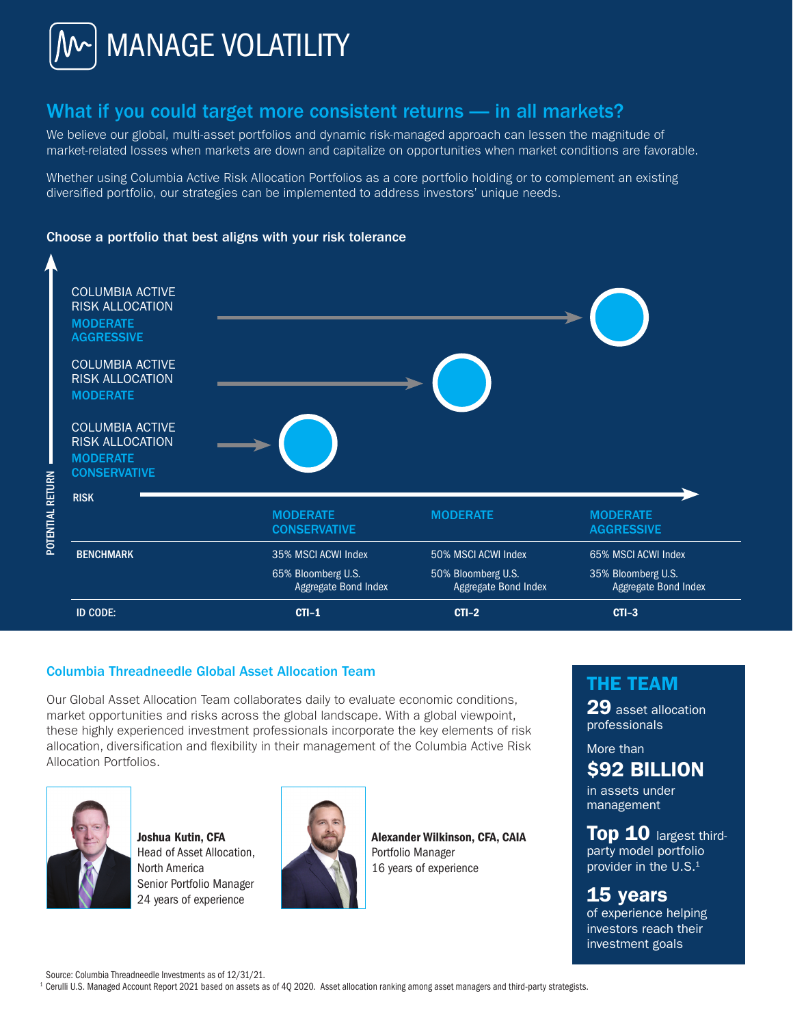

## What if you could target more consistent returns — in all markets?

We believe our global, multi-asset portfolios and dynamic risk-managed approach can lessen the magnitude of market-related losses when markets are down and capitalize on opportunities when market conditions are favorable.

Whether using Columbia Active Risk Allocation Portfolios as a core portfolio holding or to complement an existing diversified portfolio, our strategies can be implemented to address investors' unique needs.

#### Choose a portfolio that best aligns with your risk tolerance



#### Columbia Threadneedle Global Asset Allocation Team

Our Global Asset Allocation Team collaborates daily to evaluate economic conditions, market opportunities and risks across the global landscape. With a global viewpoint, these highly experienced investment professionals incorporate the key elements of risk allocation, diversification and flexibility in their management of the Columbia Active Risk Allocation Portfolios.



Joshua Kutin, CFA Head of Asset Allocation, North America Senior Portfolio Manager 24 years of experience



Alexander Wilkinson, CFA, CAIA Portfolio Manager 16 years of experience

## THE TEAM

29 asset allocation professionals

More than \$92 BILLION

in assets under management

**Top 10** largest thirdparty model portfolio provider in the U.S.<sup>1</sup>

15 years of experience helping investors reach their investment goals

Source: Columbia Threadneedle Investments as of 12/31/21.

<sup>1</sup> Cerulli U.S. Managed Account Report 2021 based on assets as of 40 2020. Asset allocation ranking among asset managers and third-party strategists.